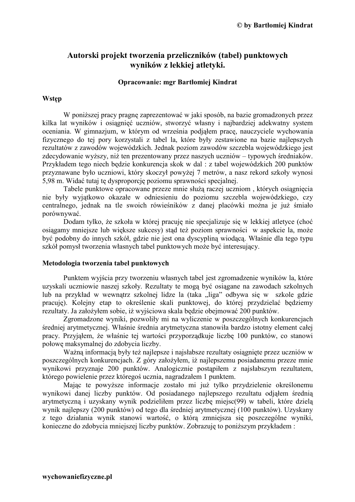# Autorski projekt tworzenia przeliczników (tabel) punktowych wyników z lekkiej atletyki.

### Opracowanie: mgr Bartłomiej Kindrat

### **Wstep**

W poniższej pracy pragne zaprezentować w jaki sposób, na bazie gromadzonych przez kilka lat wyników i osiągnieć uczniów, stworzyć własny i najbardziej adekwatny system oceniania. W gimnazjum, w którym od września podjąłem pracę, nauczyciele wychowania fizycznego do tej pory korzystali z tabel la, które były zestawione na bazie najlepszych rezultatów z zawodów wojewódzkich. Jednak poziom zawodów szczebla wojewódzkiego jest zdecydowanie wyższy, niż ten prezentowany przez naszych uczniów – typowych średniaków. Przykładem tego niech będzie konkurencja skok w dal : z tabel wojewódzkich 200 punktów przyznawane było uczniowi, który skoczył powyżej 7 metrów, a nasz rekord szkoły wynosi 5,98 m. Widać tutaj te dysproporcję poziomu sprawności specjalnej.

Tabele punktowe opracowane przeze mnie służa raczej uczniom, których osiągniecia nie były wyjątkowo okazałe w odniesieniu do poziomu szczebla wojewódzkiego, czy centralnego, jednak na tle swoich rówieśników z danej placówki można je już śmiało porównywać.

Dodam tylko, że szkoła w której pracuję nie specjalizuje się w lekkiej atletyce (choć osiągamy mniejsze lub większe sukcesy) stąd też poziom sprawności w aspekcie la, może być podobny do innych szkół, gdzie nie jest ona dyscypliną wiodącą. Właśnie dla tego typu szkół pomysł tworzenia własnych tabel punktowych może być interesujący.

#### Metodologia tworzenia tabel punktowych

Punktem wyjścia przy tworzeniu własnych tabel jest zgromadzenie wyników la, które uzyskali uczniowie naszej szkoły. Rezultaty te mogą być osiągane na zawodach szkolnych lub na przykład w wewnątrz szkolnej lidze la (taka "liga" odbywa się w szkole gdzie pracuje). Kolejny etap to określenie skali punktowej, do której przydzielać będziemy rezultaty. Ja założyłem sobie, iż wyjściowa skala będzie obejmować 200 punktów.

Zgromadzone wyniki, pozwoliły mi na wyliczenie w poszczególnych konkurenciach średniej arytmetycznej. Właśnie średnia arytmetyczna stanowiła bardzo istotny element całej pracy. Przyjąłem, że właśnie tej wartości przyporządkuje liczbę 100 punktów, co stanowi połowę maksymalnej do zdobycia liczby.

Ważna informacja były też najlepsze i najsłabsze rezultaty osiągniete przez uczniów w poszczególnych konkurencjach. Z góry założyłem, iż najlepszemu posiadanemu przeze mnie wynikowi przyznaje 200 punktów. Analogicznie postapiłem z najsłabszym rezultatem, którego powielenie przez któregoś ucznia, nagradzałem 1 punktem.

Mając te powyższe informacje zostało mi już tylko przydzielenie określonemu wynikowi danej liczby punktów. Od posiadanego najlepszego rezultatu odjałem średnia arytmetyczna i uzyskany wynik podzieliłem przez liczbe miejsc(99) w tabeli, które dziela wynik najlepszy (200 punktów) od tego dla średniej arytmetycznej (100 punktów). Uzyskany z tego działania wynik stanowi wartość, o którą zmniejsza się poszczególne wyniki, konieczne do zdobycia mniejszej liczby punktów. Zobrazuję to poniższym przykładem: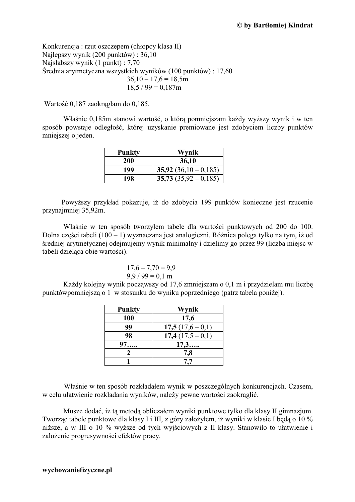Konkurencja: rzut oszczepem (chłopcy klasa II) Najlepszy wynik  $(200 \text{ punktów})$ : 36,10 Najsłabszy wynik (1 punkt) : 7,70 Średnia arytmetyczna wszystkich wyników (100 punktów): 17,60  $36,10 - 17,6 = 18,5m$  $18.5 / 99 = 0.187$ m

Wartość 0,187 zaokrąglam do 0,185.

Właśnie 0,185m stanowi wartość, o którą pomniejszam każdy wyższy wynik i w ten sposób powstaje odległość, której uzyskanie premiowane jest zdobyciem liczby punktów mniejszej o jeden.

| <b>Punkty</b> | Wynik                     |
|---------------|---------------------------|
| 200           | 36,10                     |
| 199           | 35,92 $(36,10-0,185)$     |
| 198           | $35,73$ $(35,92 - 0,185)$ |

Powyższy przykład pokazuje, iż do zdobycia 199 punktów konieczne jest rzucenie przynajmniej 35,92m.

Właśnie w ten sposób tworzyłem tabele dla wartości punktowych od 200 do 100. Dolna części tabeli (100 – 1) wyznaczana jest analogiczni. Różnica polega tylko na tym, iż od średniej arytmetycznej odejmujemy wynik minimalny i dzielimy go przez 99 (liczba miejsc w tabeli dzielaca obie wartości).

$$
17,6-7,70=9,9
$$
  
9,9 / 99 = 0,1 m

Każdy kolejny wynik począwszy od 17,6 zmniejszam o 0,1 m i przydzielam mu liczbę punktówpomniejszą o 1 w stosunku do wyniku poprzedniego (patrz tabela poniżej).

| <b>Punkty</b> | Wynik            |
|---------------|------------------|
| 100           | 17,6             |
| 99            | $17,5(17,6-0,1)$ |
| 98            | $17,4(17,5-0,1)$ |
| 97            | 17,3             |
|               | 7,8              |
|               | 7,7              |

Właśnie w ten sposób rozkładałem wynik w poszczególnych konkurencjach. Czasem, w celu ułatwienie rozkładania wyników, należy pewne wartości zaokraglić.

Musze dodać, iż tą metodą obliczałem wyniki punktowe tylko dla klasy II gimnazjum. Tworząc tabele punktowe dla klasy I i III, z góry założyłem, iż wyniki w klasie I będą o 10 % niższe, a w III o 10 % wyższe od tych wyjściowych z II klasy. Stanowiło to ułatwienie i założenie progresywności efektów pracy.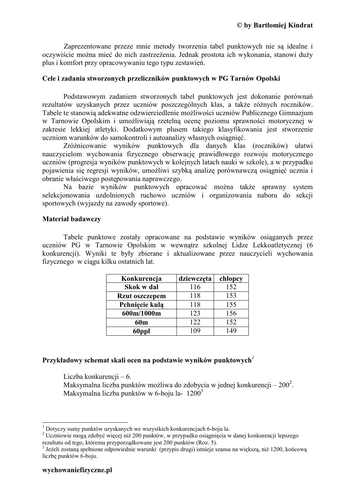Zaprezentowane przeze mnie metody tworzenia tabel punktowych nie są idealne i oczywiście można mieć do nich zastrzeżenia. Jednak prostota ich wykonania, stanowi duży plus i komfort przy opracowywaniu tego typu zestawień.

### Cele i zadania stworzonych przeliczników punktowych w PG Tarnów Opolski

Podstawowym zadaniem stworzonych tabel punktowych jest dokonanie porównań rezultatów uzyskanych przez uczniów poszczególnych klas, a także różnych roczników. Tabele te stanowią adekwatne odzwierciedlenie możliwości uczniów Publicznego Gimnazjum w Tarnowie Opolskim i umożliwiają rzetelną ocenę poziomu sprawności motorycznej w zakresie lekkiej atletyki. Dodatkowym plusem takiego klasyfikowania jest stworzenie uczniom warunków do samokontroli i autoanalizy własnych osiągnięć.

Zróżnicowanie wyników punktowych dla danych klas (roczników) ułatwi nauczycielom wychowania fizycznego obserwację prawidłowego rozwoju motorycznego uczniów (progresja wyników punktowych w kolejnych latach nauki w szkole), a w przypadku pojawienia się regresji wyników, umożliwi szybką analizę porównawczą osiągnięć ucznia i obranie właściwego postepowania naprawczego.

Na bazie wyników punktowych opracować można także sprawny system selekcionowania uzdolnionych ruchowo uczniów i organizowania naboru do sekcji sportowych (wyjazdy na zawody sportowe).

### **Material badawczy**

Tabele punktowe zostały opracowane na podstawie wyników osiąganych przez uczniów PG w Tarnowie Opolskim w wewnątrz szkolnej Lidze Lekkoatletycznej (6 konkurencji). Wyniki te były zbierane i aktualizowane przez nauczycieli wychowania fizycznego w ciągu kilku ostatnich lat.

| Konkurencja           | dziewczęta | chlopcy |
|-----------------------|------------|---------|
| Skok w dal            | 116        | 152     |
| <b>Rzut oszczepem</b> | 118        | 153     |
| Pchnięcie kulą        | 118        | 155     |
| 600m/1000m            | 123        | 156     |
| 60 <sub>m</sub>       | 122        | 152     |
| 60ppł                 |            | 49      |

## Przykładowy schemat skali ocen na podstawie wyników punktowych<sup> $\mathbf{l}$ </sup>

Liczba konkurencji – 6.

Maksymalna liczba punktów możliwa do zdobycia w jednej konkurencji –  $200^2$ . Maksymalna liczba punktów w 6-boju la-  $1200^3$ 

 $1$  Dotyczy sumy punktów uzyskanych we wszystkich konkurencjach 6-boju la.

<sup>&</sup>lt;sup>2</sup> Uczniowie mogą zdobyć więcej niż 200 punktów, w przypadku osiągnięcia w danej konkurencji lepszego rezultatu od tego, któremu przyporządkowane jest 200 punktów (Roz. 5).

<sup>&</sup>lt;sup>3</sup> Jeżeli zostaną spełnione odpowiednie warunki (przypis drugi) istnieje szansa na większą, niż 1200, końcową liczbe punktów 6-boju.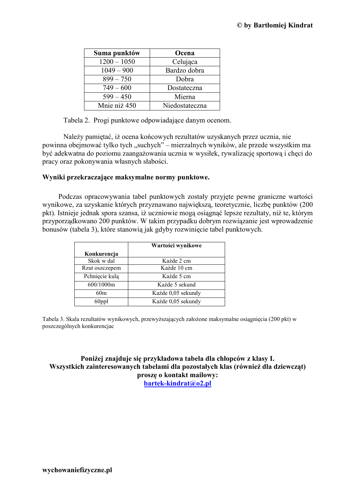| Suma punktów  | Ocena          |
|---------------|----------------|
| $1200 - 1050$ | Celująca       |
| $1049 - 900$  | Bardzo dobra   |
| $899 - 750$   | Dobra          |
| $749 - 600$   | Dostateczna    |
| $599 - 450$   | Mierna         |
| Mnie niż 450  | Niedostateczna |

Tabela 2. Progi punktowe odpowiadające danym ocenom.

Należy pamiętać, iż ocena końcowych rezultatów uzyskanych przez ucznia, nie powinna obejmować tylko tych "suchych" – mierzalnych wyników, ale przede wszystkim ma być adekwatna do poziomu zaangażowania ucznia w wysiłek, rywalizację sportową i chęci do pracy oraz pokonywania własnych słabości.

### Wyniki przekraczające maksymalne normy punktowe.

Podczas opracowywania tabel punktowych zostały przyjęte pewne graniczne wartości wynikowe, za uzyskanie których przyznawano największą, teoretycznie, liczbę punktów (200 pkt). Istnieje jednak spora szansa, iż uczniowie mogą osiągnąć lepsze rezultaty, niż te, którym przyporządkowano 200 punktów. W takim przypadku dobrym rozwiązanie jest wprowadzenie bonusów (tabela 3), które stanowią jak gdyby rozwinięcie tabel punktowych.

|                | Wartości wynikowe  |
|----------------|--------------------|
| Konkurencja    |                    |
| Skok w dal     | Każde 2 cm         |
| Rzut oszczepem | Każde 10 cm        |
| Pchnięcie kulą | Każde 5 cm         |
| 600/1000m      | Każde 5 sekund     |
| 60m            | Każde 0,05 sekundy |
| 60ppł          | Każde 0,05 sekundy |

Tabela 3. Skala rezultatów wynikowych, przewyższających założone maksymalne osiągnięcia (200 pkt) w poszczególnych konkurencjac

Poniżej znajduje się przykładowa tabela dla chłopców z klasy I. Wszystkich zainteresowanych tabelami dla pozostałych klas (również dla dziewcząt) prosze o kontakt mailowy: bartek-kindrat@o2.pl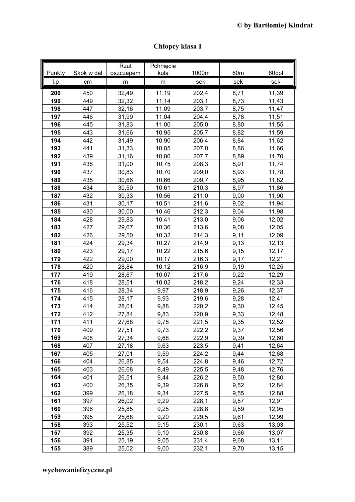| Punkty     | Skok w dal | Rzut<br>oszczepem | Pchnięcie<br>kulą | 1000m          | 60m          | 60ppł          |
|------------|------------|-------------------|-------------------|----------------|--------------|----------------|
| l.p        | cm         | m                 | m                 | sek            | sek          | sek            |
| 200        | 450        | 32,49             | 11,19             | 202,4          | 8,71         | 11,39          |
| 199        | 449        | 32,32             | 11,14             | 203,1          | 8,73         | 11,43          |
| 198        | 447        | 32,16             | 11,09             | 203,7          | 8,75         | 11,47          |
| 197        | 446        | 31,99             | 11,04             | 204,4          | 8,78         | 11,51          |
| 196        | 445        | 31,83             | 11,00             | 205,0          | 8,80         | 11,55          |
| 195        | 443        | 31,66             | 10,95             | 205,7          | 8,82         | 11,59          |
| 194        | 442        | 31,49             | 10,90             | 206,4          | 8,84         | 11,62          |
| 193        | 441        | 31,33             | 10,85             | 207,0          | 8,86         | 11,66          |
| 192        | 439        | 31,16             | 10,80             | 207,7          | 8,89         | 11,70          |
| 191        | 438        | 31,00             | 10,75             | 208,3          | 8,91         | 11,74          |
| 190        | 437        | 30,83             | 10,70             | 209,0          | 8,93         | 11,78          |
| 189        | 435        | 30,66             | 10,66             | 209,7          | 8,95         | 11,82          |
| 188        | 434        | 30,50             | 10,61             | 210,3          | 8,97         | 11,86          |
| 187        | 432        | 30,33             | 10,56             | 211,0          | 9,00         | 11,90          |
| 186        | 431        | 30,17             | 10,51             | 211,6          | 9,02         | 11,94          |
| 185        | 430        | 30,00             | 10,46             | 212,3          | 9,04         | 11,98          |
| 184        | 428        | 29,83             | 10,41             | 213,0          | 9,06         | 12,02          |
| 183        | 427        | 29,67             | 10,36             | 213,6          | 9,08         | 12,05          |
| 182        | 426        | 29,50             | 10,32             | 214,3          | 9,11         | 12,09          |
| 181        | 424        | 29,34             | 10,27             | 214,9          | 9,13         | 12, 13         |
| 180        | 423        | 29,17             | 10,22             | 215,6          | 9,15         | 12,17          |
| 179        | 422        | 29,00             | 10, 17            | 216,3          | 9,17         | 12,21          |
| 178        | 420        | 28,84             | 10, 12            | 216,9          | 9,19         | 12,25          |
| 177        | 419        | 28,67             | 10,07             | 217,6          | 9,22         | 12,29          |
| 176        | 418        | 28,51             | 10,02             | 218,2          | 9,24         | 12,33          |
| 175        | 416        | 28,34             | 9,97              | 218,9          | 9,26         | 12,37          |
| 174        | 415        | 28,17             | 9,93              | 219,6          | 9,28         | 12,41          |
| 173        | 414        | 28,01             | 9,88              | 220,2          | 9,30         | 12,45          |
| 172        | 412        | 27,84             | 9,83              | 220,9          | 9,33         | 12,48          |
| 171        | 411        | 27,68             | 9,78              | 221,5          | 9,35         | 12,52          |
| 170        | 409        | 27,51             | 9,73              | 222,2          | 9,37         | 12,56          |
| 169<br>168 | 408        | 27,34             | 9,68              | 222,9          | 9,39         | 12,60          |
| 167        | 407<br>405 | 27,18             | 9,63              | 223,5          | 9,41         | 12,64          |
| 166        | 404        | 27,01             | 9,59              | 224,2          | 9,44         | 12,68          |
| 165        | 403        | 26,85<br>26,68    | 9,54<br>9,49      | 224,8<br>225,5 | 9,46<br>9,48 | 12,72<br>12,76 |
| 164        | 401        | 26,51             | 9,44              | 226,2          | 9,50         | 12,80          |
| 163        | 400        | 26,35             | 9,39              | 226,8          | 9,52         | 12,84          |
| 162        | 399        | 26,18             | 9,34              | 227,5          | 9,55         | 12,88          |
| 161        | 397        | 26,02             | 9,29              | 228,1          | 9,57         | 12,91          |
| 160        | 396        | 25,85             | 9,25              | 228,8          | 9,59         | 12,95          |
| 159        | 395        | 25,68             | 9,20              | 229,5          | 9,61         | 12,99          |
| 158        | 393        | 25,52             | 9,15              | 230,1          | 9,63         | 13,03          |
| 157        | 392        | 25,35             | 9,10              | 230,8          | 9,66         | 13,07          |
| 156        | 391        | 25,19             | 9,05              | 231,4          | 9,68         | 13,11          |
| 155        | 389        | 25,02             | 9,00              | 232,1          | 9,70         | 13,15          |

Chłopcy klasa I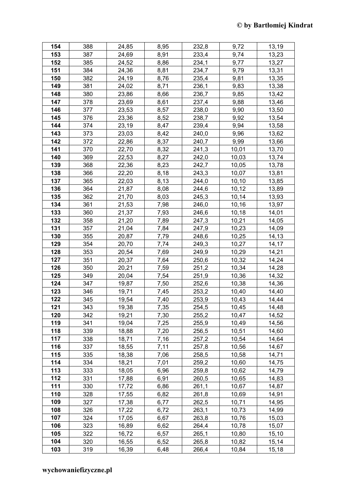| 154 | 388 | 24,85 | 8,95 | 232,8 | 9,72   | 13,19 |
|-----|-----|-------|------|-------|--------|-------|
| 153 | 387 | 24,69 | 8,91 | 233,4 | 9,74   | 13,23 |
| 152 | 385 | 24,52 | 8,86 | 234,1 | 9,77   | 13,27 |
| 151 | 384 | 24,36 | 8,81 | 234,7 | 9,79   | 13,31 |
| 150 | 382 | 24,19 | 8,76 | 235,4 | 9,81   | 13,35 |
| 149 | 381 | 24,02 | 8,71 | 236,1 | 9,83   | 13,38 |
| 148 | 380 | 23,86 | 8,66 | 236,7 | 9,85   | 13,42 |
| 147 | 378 | 23,69 | 8,61 | 237,4 | 9,88   | 13,46 |
| 146 | 377 | 23,53 | 8,57 | 238,0 | 9,90   | 13,50 |
| 145 | 376 | 23,36 | 8,52 | 238,7 | 9,92   | 13,54 |
| 144 | 374 | 23,19 | 8,47 | 239,4 | 9,94   | 13,58 |
| 143 | 373 | 23,03 | 8,42 | 240,0 | 9,96   | 13,62 |
| 142 | 372 | 22,86 | 8,37 | 240,7 | 9,99   | 13,66 |
| 141 | 370 | 22,70 | 8,32 | 241,3 | 10,01  | 13,70 |
| 140 | 369 | 22,53 | 8,27 | 242,0 | 10,03  | 13,74 |
| 139 | 368 | 22,36 | 8,23 | 242,7 | 10,05  | 13,78 |
| 138 | 366 | 22,20 | 8,18 | 243,3 | 10,07  | 13,81 |
| 137 | 365 | 22,03 | 8,13 | 244,0 | 10, 10 | 13,85 |
| 136 | 364 | 21,87 | 8,08 | 244,6 | 10, 12 | 13,89 |
| 135 | 362 | 21,70 | 8,03 | 245,3 | 10,14  | 13,93 |
| 134 | 361 | 21,53 | 7,98 | 246,0 | 10, 16 | 13,97 |
| 133 | 360 | 21,37 | 7,93 | 246,6 | 10, 18 | 14,01 |
| 132 | 358 | 21,20 | 7,89 | 247,3 | 10,21  | 14,05 |
| 131 | 357 | 21,04 | 7,84 | 247,9 | 10,23  | 14,09 |
| 130 | 355 | 20,87 | 7,79 | 248,6 | 10,25  | 14,13 |
| 129 | 354 | 20,70 | 7,74 | 249,3 | 10,27  | 14,17 |
| 128 | 353 | 20,54 | 7,69 | 249,9 | 10,29  | 14,21 |
| 127 | 351 | 20,37 | 7,64 | 250,6 | 10,32  | 14,24 |
| 126 | 350 | 20,21 | 7,59 | 251,2 | 10,34  | 14,28 |
| 125 | 349 | 20,04 | 7,54 | 251,9 | 10,36  | 14,32 |
| 124 | 347 | 19,87 | 7,50 | 252,6 | 10,38  | 14,36 |
| 123 | 346 | 19,71 | 7,45 | 253,2 | 10,40  | 14,40 |
| 122 | 345 | 19,54 | 7,40 | 253,9 | 10,43  | 14,44 |
| 121 | 343 | 19,38 | 7.35 | 254,5 | 10,45  | 14,48 |
| 120 | 342 | 19,21 | 7,30 | 255,2 | 10,47  | 14,52 |
| 119 | 341 | 19,04 | 7,25 | 255,9 | 10,49  | 14,56 |
| 118 | 339 | 18,88 | 7,20 | 256,5 | 10,51  | 14,60 |
| 117 | 338 | 18,71 | 7,16 | 257,2 | 10,54  | 14,64 |
| 116 | 337 | 18,55 | 7,11 | 257,8 | 10,56  | 14,67 |
| 115 | 335 | 18,38 | 7,06 | 258,5 | 10,58  | 14,71 |
| 114 | 334 | 18,21 | 7,01 | 259,2 | 10,60  | 14,75 |
| 113 | 333 | 18,05 | 6,96 | 259,8 | 10,62  | 14,79 |
| 112 | 331 | 17,88 | 6,91 | 260,5 | 10,65  | 14,83 |
| 111 | 330 | 17,72 | 6,86 | 261,1 | 10,67  | 14,87 |
| 110 | 328 | 17,55 | 6,82 | 261,8 | 10,69  | 14,91 |
| 109 | 327 | 17,38 | 6,77 | 262,5 | 10,71  | 14,95 |
| 108 | 326 | 17,22 | 6,72 | 263,1 | 10,73  | 14,99 |
| 107 | 324 | 17,05 | 6,67 | 263,8 | 10,76  | 15,03 |
| 106 | 323 | 16,89 | 6,62 | 264,4 | 10,78  | 15,07 |
| 105 | 322 | 16,72 | 6,57 | 265,1 | 10,80  | 15,10 |
| 104 | 320 | 16,55 | 6,52 | 265,8 | 10,82  | 15,14 |
| 103 | 319 | 16,39 | 6,48 | 266,4 | 10,84  | 15,18 |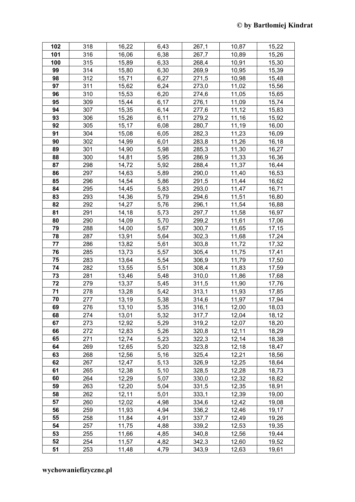| 102 | 318 | 16,22 | 6,43 | 267,1 | 10,87 | 15,22 |
|-----|-----|-------|------|-------|-------|-------|
| 101 | 316 | 16,06 | 6,38 | 267,7 | 10,89 | 15,26 |
| 100 | 315 | 15,89 | 6,33 | 268,4 | 10,91 | 15,30 |
| 99  | 314 | 15,80 | 6,30 | 269,9 | 10,95 | 15,39 |
| 98  | 312 | 15,71 | 6,27 | 271,5 | 10,98 | 15,48 |
| 97  | 311 | 15,62 | 6,24 | 273,0 | 11,02 | 15,56 |
| 96  | 310 | 15,53 | 6,20 | 274,6 | 11,05 | 15,65 |
| 95  | 309 | 15,44 | 6,17 | 276,1 | 11,09 | 15,74 |
| 94  | 307 | 15,35 | 6,14 | 277,6 | 11,12 | 15,83 |
| 93  | 306 | 15,26 | 6,11 | 279,2 | 11,16 | 15,92 |
| 92  | 305 | 15,17 | 6,08 | 280,7 | 11,19 | 16,00 |
| 91  | 304 | 15,08 | 6,05 | 282,3 | 11,23 | 16,09 |
| 90  | 302 | 14,99 | 6,01 | 283,8 | 11,26 | 16,18 |
| 89  | 301 | 14,90 | 5,98 | 285,3 | 11,30 | 16,27 |
| 88  | 300 | 14,81 | 5,95 | 286,9 | 11,33 | 16,36 |
| 87  | 298 | 14,72 | 5,92 | 288,4 | 11,37 | 16,44 |
| 86  | 297 | 14,63 | 5,89 | 290,0 | 11,40 | 16,53 |
| 85  | 296 | 14,54 | 5,86 | 291,5 | 11,44 | 16,62 |
| 84  | 295 | 14,45 | 5,83 | 293,0 | 11,47 | 16,71 |
| 83  | 293 | 14,36 | 5,79 | 294,6 | 11,51 | 16,80 |
| 82  | 292 | 14,27 | 5,76 | 296,1 | 11,54 | 16,88 |
| 81  | 291 | 14,18 | 5,73 | 297,7 | 11,58 | 16,97 |
| 80  | 290 | 14,09 | 5,70 | 299,2 | 11,61 | 17,06 |
| 79  | 288 | 14,00 | 5,67 | 300,7 | 11,65 | 17,15 |
| 78  | 287 | 13,91 | 5,64 | 302,3 | 11,68 | 17,24 |
| 77  | 286 | 13,82 | 5,61 | 303,8 | 11,72 | 17,32 |
| 76  | 285 | 13,73 | 5,57 | 305,4 | 11,75 | 17,41 |
| 75  | 283 | 13,64 | 5,54 | 306,9 | 11,79 | 17,50 |
| 74  | 282 | 13,55 | 5,51 | 308,4 | 11,83 | 17,59 |
| 73  | 281 | 13,46 | 5,48 | 310,0 | 11,86 | 17,68 |
| 72  | 279 | 13,37 | 5,45 | 311,5 | 11,90 | 17,76 |
| 71  | 278 | 13,28 | 5,42 | 313,1 | 11,93 | 17,85 |
| 70  | 277 | 13,19 | 5,38 | 314,6 | 11,97 | 17,94 |
| 69  | 276 | 13,10 | 5,35 | 316,1 | 12,00 | 18,03 |
| 68  | 274 | 13,01 | 5,32 | 317,7 | 12,04 | 18,12 |
| 67  | 273 | 12,92 | 5,29 | 319,2 | 12,07 | 18,20 |
| 66  | 272 | 12,83 | 5,26 | 320,8 | 12,11 | 18,29 |
| 65  | 271 | 12,74 | 5,23 | 322,3 | 12,14 | 18,38 |
| 64  | 269 | 12,65 | 5,20 | 323,8 | 12,18 | 18,47 |
| 63  | 268 | 12,56 | 5,16 | 325,4 | 12,21 | 18,56 |
| 62  | 267 | 12,47 | 5,13 | 326,9 | 12,25 | 18,64 |
| 61  | 265 | 12,38 | 5,10 | 328,5 | 12,28 | 18,73 |
| 60  | 264 | 12,29 | 5,07 | 330,0 | 12,32 | 18,82 |
| 59  | 263 | 12,20 | 5,04 | 331,5 | 12,35 | 18,91 |
| 58  | 262 | 12,11 | 5,01 | 333,1 | 12,39 | 19,00 |
| 57  | 260 | 12,02 | 4,98 | 334,6 | 12,42 | 19,08 |
| 56  | 259 | 11,93 | 4,94 | 336,2 | 12,46 | 19,17 |
| 55  | 258 | 11,84 | 4,91 | 337,7 | 12,49 | 19,26 |
| 54  | 257 | 11,75 | 4,88 | 339,2 | 12,53 | 19,35 |
| 53  | 255 | 11,66 | 4,85 | 340,8 | 12,56 | 19,44 |
| 52  | 254 | 11,57 | 4,82 | 342,3 | 12,60 | 19,52 |
| 51  | 253 | 11,48 | 4,79 | 343,9 | 12,63 | 19,61 |